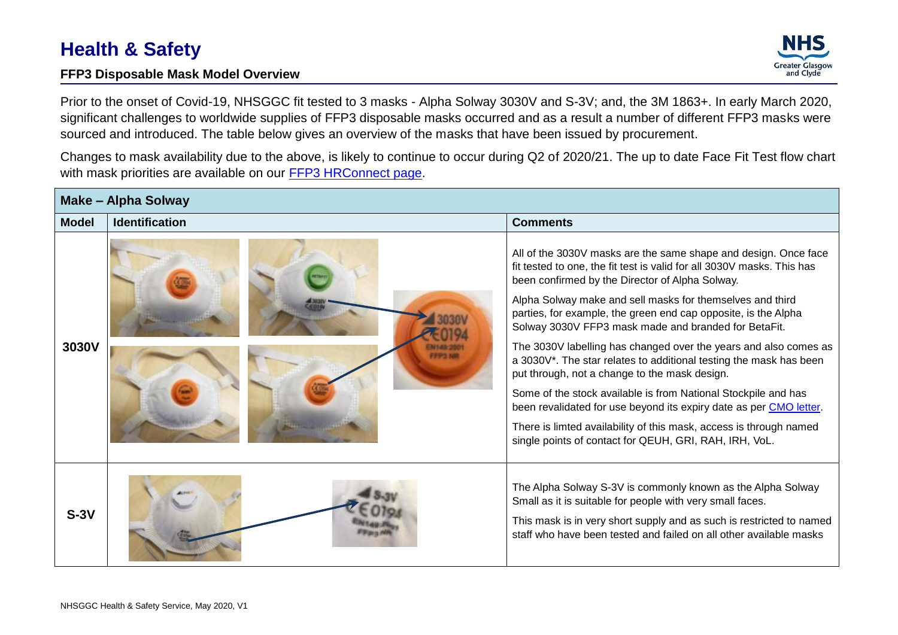## **Health & Safety**

## **FFP3 Disposable Mask Model Overview**



Prior to the onset of Covid-19, NHSGGC fit tested to 3 masks - Alpha Solway 3030V and S-3V; and, the 3M 1863+. In early March 2020, significant challenges to worldwide supplies of FFP3 disposable masks occurred and as a result a number of different FFP3 masks were sourced and introduced. The table below gives an overview of the masks that have been issued by procurement.

Changes to mask availability due to the above, is likely to continue to occur during Q2 of 2020/21. The up to date Face Fit Test flow chart with mask priorities are available on our [FFP3 HRConnect page.](https://www.nhsggc.org.uk/working-with-us/hr-connect/health-safety/policies-guidance-documents-forms/personal-protective-equipment/respiratory-protection-equipment-ffp3-masks/)

| <b>Make - Alpha Solway</b> |                       |                                                                                                                                                                                                                                                                                                                                                                                                                                                                                                                         |  |  |
|----------------------------|-----------------------|-------------------------------------------------------------------------------------------------------------------------------------------------------------------------------------------------------------------------------------------------------------------------------------------------------------------------------------------------------------------------------------------------------------------------------------------------------------------------------------------------------------------------|--|--|
| <b>Model</b>               | <b>Identification</b> | <b>Comments</b>                                                                                                                                                                                                                                                                                                                                                                                                                                                                                                         |  |  |
| 3030V                      |                       | All of the 3030V masks are the same shape and design. Once face<br>fit tested to one, the fit test is valid for all 3030V masks. This has<br>been confirmed by the Director of Alpha Solway.<br>Alpha Solway make and sell masks for themselves and third<br>parties, for example, the green end cap opposite, is the Alpha                                                                                                                                                                                             |  |  |
|                            |                       | Solway 3030V FFP3 mask made and branded for BetaFit.<br>The 3030V labelling has changed over the years and also comes as<br>a 3030V*. The star relates to additional testing the mask has been<br>put through, not a change to the mask design.<br>Some of the stock available is from National Stockpile and has<br>been revalidated for use beyond its expiry date as per CMO letter.<br>There is limted availability of this mask, access is through named<br>single points of contact for QEUH, GRI, RAH, IRH, VoL. |  |  |
| $S-3V$                     |                       | The Alpha Solway S-3V is commonly known as the Alpha Solway<br>Small as it is suitable for people with very small faces.<br>This mask is in very short supply and as such is restricted to named<br>staff who have been tested and failed on all other available masks                                                                                                                                                                                                                                                  |  |  |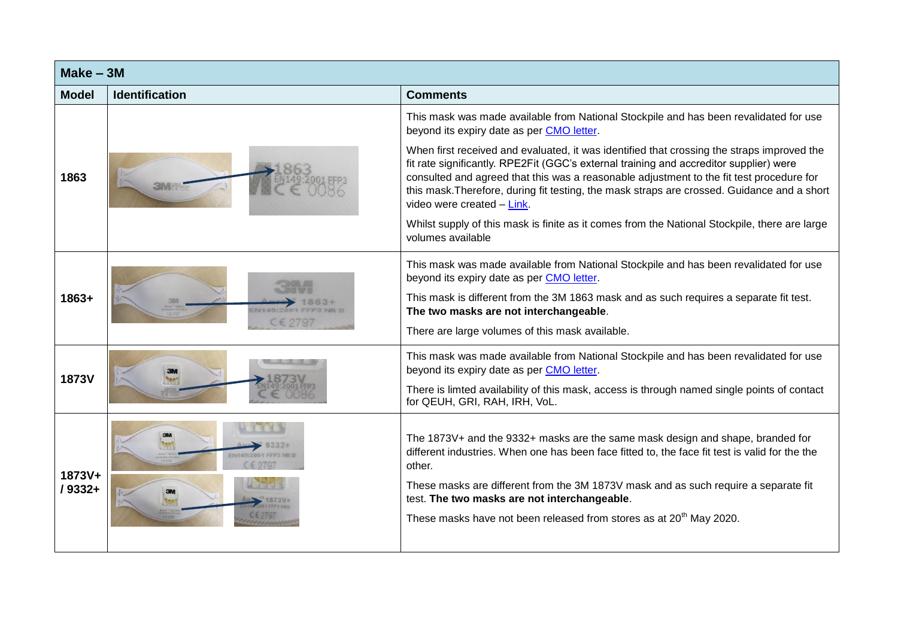| $Make - 3M$        |                       |                                                                                                                                                                                                                                                                                                                                                                                                               |
|--------------------|-----------------------|---------------------------------------------------------------------------------------------------------------------------------------------------------------------------------------------------------------------------------------------------------------------------------------------------------------------------------------------------------------------------------------------------------------|
| <b>Model</b>       | <b>Identification</b> | <b>Comments</b>                                                                                                                                                                                                                                                                                                                                                                                               |
|                    |                       | This mask was made available from National Stockpile and has been revalidated for use<br>beyond its expiry date as per CMO letter.                                                                                                                                                                                                                                                                            |
| 1863               | <b>3MW</b>            | When first received and evaluated, it was identified that crossing the straps improved the<br>fit rate significantly. RPE2Fit (GGC's external training and accreditor supplier) were<br>consulted and agreed that this was a reasonable adjustment to the fit test procedure for<br>this mask. Therefore, during fit testing, the mask straps are crossed. Guidance and a short<br>video were created - Link. |
|                    |                       | Whilst supply of this mask is finite as it comes from the National Stockpile, there are large<br>volumes available                                                                                                                                                                                                                                                                                            |
| 1863+              | CE 2797               | This mask was made available from National Stockpile and has been revalidated for use<br>beyond its expiry date as per CMO letter.<br>This mask is different from the 3M 1863 mask and as such requires a separate fit test.                                                                                                                                                                                  |
|                    |                       | The two masks are not interchangeable.<br>There are large volumes of this mask available.                                                                                                                                                                                                                                                                                                                     |
| <b>1873V</b>       |                       | This mask was made available from National Stockpile and has been revalidated for use<br>beyond its expiry date as per CMO letter.                                                                                                                                                                                                                                                                            |
|                    |                       | There is limted availability of this mask, access is through named single points of contact<br>for QEUH, GRI, RAH, IRH, VoL.                                                                                                                                                                                                                                                                                  |
| 1873V+<br>$/9332+$ | N1449-2004 FEP3 NR I  | The 1873V+ and the 9332+ masks are the same mask design and shape, branded for<br>different industries. When one has been face fitted to, the face fit test is valid for the the<br>other.                                                                                                                                                                                                                    |
|                    |                       | These masks are different from the 3M 1873V mask and as such require a separate fit<br>test. The two masks are not interchangeable.                                                                                                                                                                                                                                                                           |
|                    |                       | These masks have not been released from stores as at 20 <sup>th</sup> May 2020.                                                                                                                                                                                                                                                                                                                               |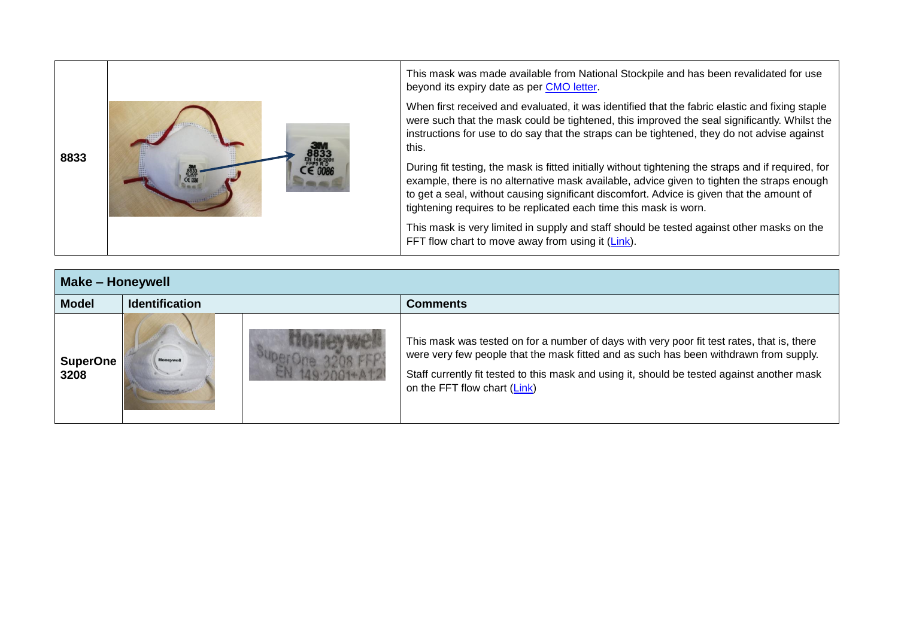| 8833 |  | This mask was made available from National Stockpile and has been revalidated for use<br>beyond its expiry date as per CMO letter.                                                                                                                                                                                                                                  |
|------|--|---------------------------------------------------------------------------------------------------------------------------------------------------------------------------------------------------------------------------------------------------------------------------------------------------------------------------------------------------------------------|
|      |  | When first received and evaluated, it was identified that the fabric elastic and fixing staple<br>were such that the mask could be tightened, this improved the seal significantly. Whilst the<br>instructions for use to do say that the straps can be tightened, they do not advise against<br>this.                                                              |
|      |  | During fit testing, the mask is fitted initially without tightening the straps and if required, for<br>example, there is no alternative mask available, advice given to tighten the straps enough<br>to get a seal, without causing significant discomfort. Advice is given that the amount of<br>tightening requires to be replicated each time this mask is worn. |
|      |  | This mask is very limited in supply and staff should be tested against other masks on the<br>FFT flow chart to move away from using it (Link).                                                                                                                                                                                                                      |

| <b>Make - Honeywell</b> |                       |  |                                                                                                                                                                                                                                                                                                                    |  |
|-------------------------|-----------------------|--|--------------------------------------------------------------------------------------------------------------------------------------------------------------------------------------------------------------------------------------------------------------------------------------------------------------------|--|
| <b>Model</b>            | <b>Identification</b> |  | Comments                                                                                                                                                                                                                                                                                                           |  |
| <b>SuperOne</b><br>3208 | <b>Honeywe</b>        |  | This mask was tested on for a number of days with very poor fit test rates, that is, there<br>were very few people that the mask fitted and as such has been withdrawn from supply.<br>Staff currently fit tested to this mask and using it, should be tested against another mask<br>on the FFT flow chart (Link) |  |